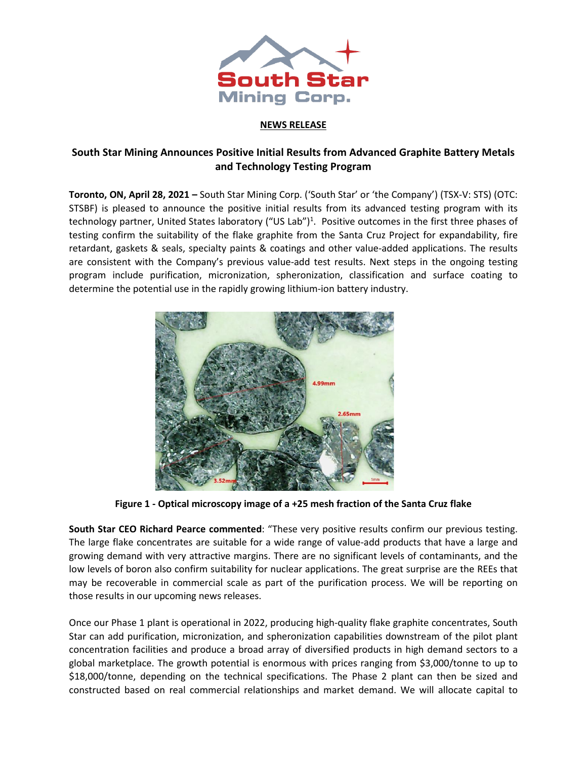

# **NEWS RELEASE**

# **South Star Mining Announces Positive Initial Results from Advanced Graphite Battery Metals and Technology Testing Program**

**Toronto, ON, April 28, 2021 –** South Star Mining Corp. ('South Star' or 'the Company') (TSX-V: STS) (OTC: STSBF) is pleased to announce the positive initial results from its advanced testing program with its technology partner, United States laboratory ("US Lab")<sup>1</sup>. Positive outcomes in the first three phases of testing confirm the suitability of the flake graphite from the Santa Cruz Project for expandability, fire retardant, gaskets & seals, specialty paints & coatings and other value-added applications. The results are consistent with the Company's previous value-add test results. Next steps in the ongoing testing program include purification, micronization, spheronization, classification and surface coating to determine the potential use in the rapidly growing lithium-ion battery industry.



**Figure 1 - Optical microscopy image of a +25 mesh fraction of the Santa Cruz flake**

**South Star CEO Richard Pearce commented**: "These very positive results confirm our previous testing. The large flake concentrates are suitable for a wide range of value-add products that have a large and growing demand with very attractive margins. There are no significant levels of contaminants, and the low levels of boron also confirm suitability for nuclear applications. The great surprise are the REEs that may be recoverable in commercial scale as part of the purification process. We will be reporting on those results in our upcoming news releases.

Once our Phase 1 plant is operational in 2022, producing high-quality flake graphite concentrates, South Star can add purification, micronization, and spheronization capabilities downstream of the pilot plant concentration facilities and produce a broad array of diversified products in high demand sectors to a global marketplace. The growth potential is enormous with prices ranging from \$3,000/tonne to up to \$18,000/tonne, depending on the technical specifications. The Phase 2 plant can then be sized and constructed based on real commercial relationships and market demand. We will allocate capital to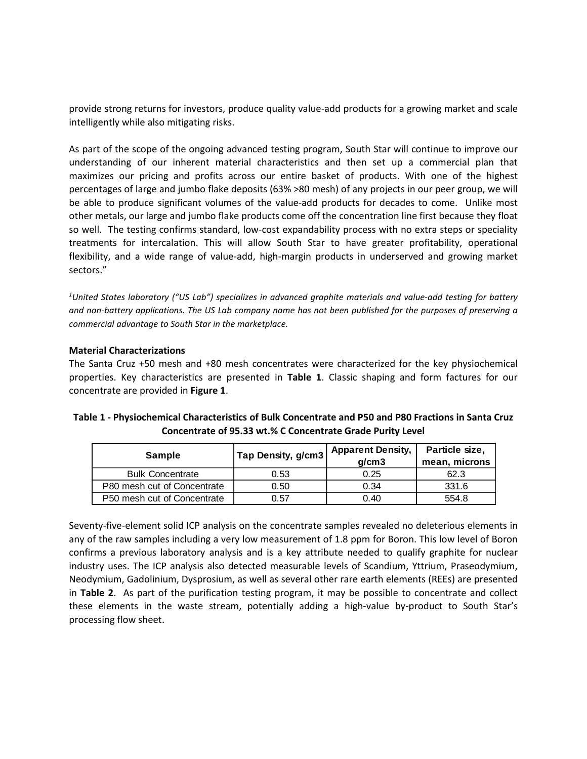provide strong returns for investors, produce quality value-add products for a growing market and scale intelligently while also mitigating risks.

As part of the scope of the ongoing advanced testing program, South Star will continue to improve our understanding of our inherent material characteristics and then set up a commercial plan that maximizes our pricing and profits across our entire basket of products. With one of the highest percentages of large and jumbo flake deposits (63% >80 mesh) of any projects in our peer group, we will be able to produce significant volumes of the value-add products for decades to come. Unlike most other metals, our large and jumbo flake products come off the concentration line first because they float so well. The testing confirms standard, low-cost expandability process with no extra steps or speciality treatments for intercalation. This will allow South Star to have greater profitability, operational flexibility, and a wide range of value-add, high-margin products in underserved and growing market sectors."

<sup>1</sup>United States laboratory ("US Lab") specializes in advanced graphite materials and value-add testing for battery and non-battery applications. The US Lab company name has not been published for the purposes of preserving a *commercial advantage to South Star in the marketplace.*

### **Material Characterizations**

The Santa Cruz +50 mesh and +80 mesh concentrates were characterized for the key physiochemical properties. Key characteristics are presented in **Table 1**. Classic shaping and form factures for our concentrate are provided in **Figure 1**.

| <b>Sample</b>               | Tap Density, g/cm3 | <b>Apparent Density,</b><br>a/cm3 | Particle size,<br>mean, microns |  |
|-----------------------------|--------------------|-----------------------------------|---------------------------------|--|
| <b>Bulk Concentrate</b>     | 0.53               | 0.25                              | 62.3                            |  |
| P80 mesh cut of Concentrate | 0.50               | 0.34                              | 331.6                           |  |
| P50 mesh cut of Concentrate | 0.57               | 0.40                              | 554.8                           |  |

**Table 1 - Physiochemical Characteristics of Bulk Concentrate and P50 and P80 Fractions in Santa Cruz Concentrate of 95.33 wt.% C Concentrate Grade Purity Level**

Seventy-five-element solid ICP analysis on the concentrate samples revealed no deleterious elements in any of the raw samples including a very low measurement of 1.8 ppm for Boron. This low level of Boron confirms a previous laboratory analysis and is a key attribute needed to qualify graphite for nuclear industry uses. The ICP analysis also detected measurable levels of Scandium, Yttrium, Praseodymium, Neodymium, Gadolinium, Dysprosium, as well as several other rare earth elements (REEs) are presented in **Table 2**. As part of the purification testing program, it may be possible to concentrate and collect these elements in the waste stream, potentially adding a high-value by-product to South Star's processing flow sheet.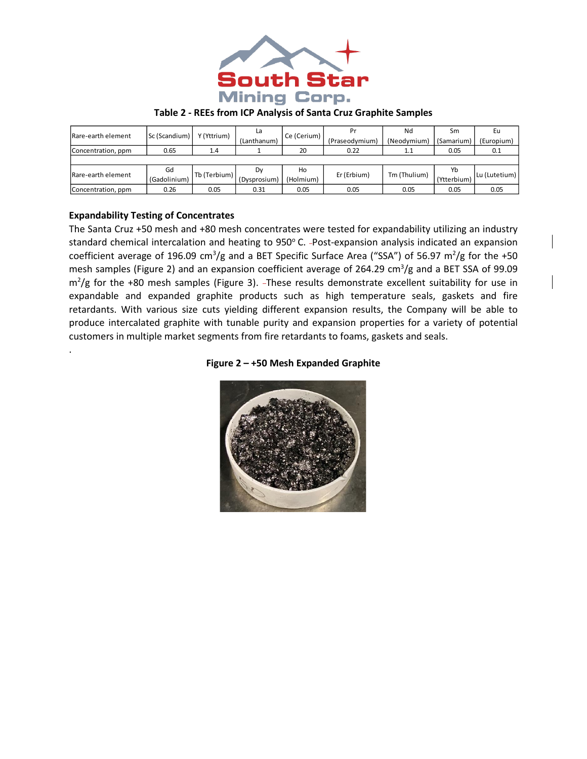

### **Table 2 - REEs from ICP Analysis of Santa Cruz Graphite Samples**

| IRare-earth element | Sc (Scandium) | Y (Yttrium)  | La           | Ce (Cerium) | Pr             | Nd           | Sm          | Eu            |
|---------------------|---------------|--------------|--------------|-------------|----------------|--------------|-------------|---------------|
|                     |               |              | (Lanthanum)  |             | (Praseodymium) | (Neodymium)  | (Samarium)  | (Europium)    |
| Concentration, ppm  | 0.65          | 1.4          |              | 20          | 0.22           | $1.1\,$      | 0.05        | 0.1           |
|                     |               |              |              |             |                |              |             |               |
| Rare-earth element  | Gd            | Tb (Terbium) | Dy           | Ho          | Er (Erbium)    | Tm (Thulium) | Yb          | Lu (Lutetium) |
|                     | (Gadolinium)  |              | (Dysprosium) | (Holmium)   |                |              | (Ytterbium) |               |
| Concentration, ppm  | 0.26          | 0.05         | 0.31         | 0.05        | 0.05           | 0.05         | 0.05        | 0.05          |

## **Expandability Testing of Concentrates**

.

The Santa Cruz +50 mesh and +80 mesh concentrates were tested for expandability utilizing an industry standard chemical intercalation and heating to 950°C. -Post-expansion analysis indicated an expansion coefficient average of 196.09 cm<sup>3</sup>/g and a BET Specific Surface Area ("SSA") of 56.97 m<sup>2</sup>/g for the +50 mesh samples (Figure 2) and an expansion coefficient average of 264.29 cm<sup>3</sup>/g and a BET SSA of 99.09  $m^2/g$  for the +80 mesh samples (Figure 3). -These results demonstrate excellent suitability for use in expandable and expanded graphite products such as high temperature seals, gaskets and fire retardants. With various size cuts yielding different expansion results, the Company will be able to produce intercalated graphite with tunable purity and expansion properties for a variety of potential customers in multiple market segments from fire retardants to foams, gaskets and seals.

### **Figure 2 – +50 Mesh Expanded Graphite**

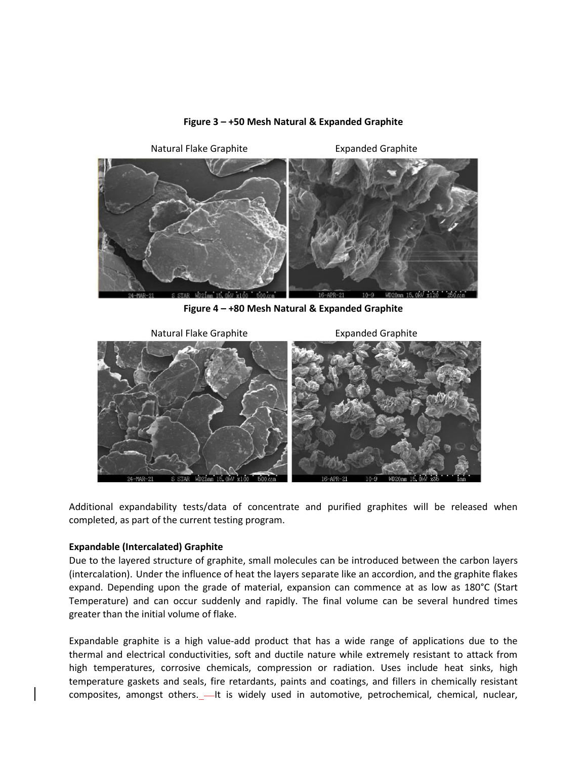

#### **Figure 3 – +50 Mesh Natural & Expanded Graphite**

**Figure 4 – +80 Mesh Natural & Expanded Graphite**



Additional expandability tests/data of concentrate and purified graphites will be released when completed, as part of the current testing program.

### **Expandable (Intercalated) Graphite**

Due to the layered structure of graphite, small molecules can be introduced between the carbon layers (intercalation). Under the influence of heat the layers separate like an accordion, and the graphite flakes expand. Depending upon the grade of material, expansion can commence at as low as 180°C (Start Temperature) and can occur suddenly and rapidly. The final volume can be several hundred times greater than the initial volume of flake.

Expandable graphite is a high value-add product that has a wide range of applications due to the thermal and electrical conductivities, soft and ductile nature while extremely resistant to attack from high temperatures, corrosive chemicals, compression or radiation. Uses include heat sinks, high temperature gaskets and seals, fire retardants, paints and coatings, and fillers in chemically resistant composites, amongst others.  $-$ It is widely used in automotive, petrochemical, chemical, nuclear,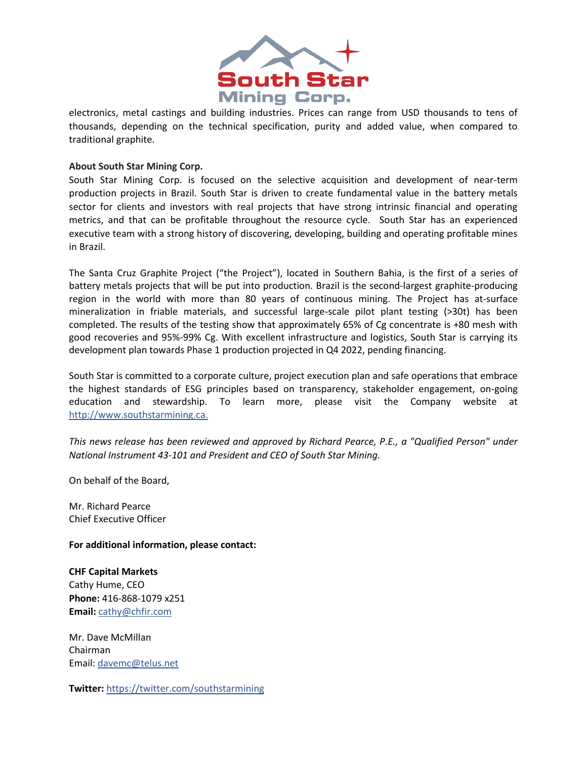

electronics, metal castings and building industries. Prices can range from USD thousands to tens of thousands, depending on the technical specification, purity and added value, when compared to traditional graphite.

### **About South Star Mining Corp.**

South Star Mining Corp. is focused on the selective acquisition and development of near-term production projects in Brazil. South Star is driven to create fundamental value in the battery metals sector for clients and investors with real projects that have strong intrinsic financial and operating metrics, and that can be profitable throughout the resource cycle. South Star has an experienced executive team with a strong history of discovering, developing, building and operating profitable mines in Brazil.

The Santa Cruz Graphite Project ("the Project"), located in Southern Bahia, is the first of a series of battery metals projects that will be put into production. Brazil is the second-largest graphite-producing region in the world with more than 80 years of continuous mining. The Project has at-surface mineralization in friable materials, and successful large-scale pilot plant testing (>30t) has been completed. The results of the testing show that approximately 65% of Cg concentrate is +80 mesh with good recoveries and 95%-99% Cg. With excellent infrastructure and logistics, South Star is carrying its development plan towards Phase 1 production projected in Q4 2022, pending financing.

South Star is committed to a corporate culture, project execution plan and safe operations that embrace the highest standards of ESG principles based on transparency, stakeholder engagement, on-going education and stewardship. To learn more, please visit the Company website at [http://www.southstarmining.ca.](http://www.southstarmining.ca/)

*This news release has been reviewed and approved by Richard Pearce, P.E., a "Qualified Person" under National Instrument 43-101 and President and CEO of South Star Mining.*

On behalf of the Board,

Mr. Richard Pearce Chief Executive Officer

**For additional information, please contact:**

**CHF Capital Markets** Cathy Hume, CEO **Phone:** 416-868-1079 x251 **Email:** [cathy@chfir.com](mailto:cathy@chfir.com)

Mr. Dave McMillan Chairman Email: [davemc@telus.net](mailto:davemc@telus.net)

**Twitter:** <https://twitter.com/southstarmining>